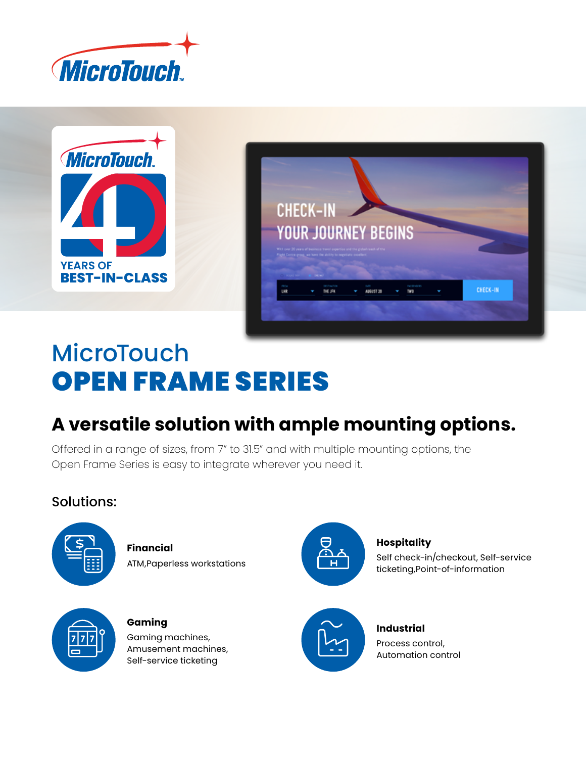



# **MicroTouch** OPEN FRAME SERIES

## **A versatile solution with ample mounting options.**

Offered in a range of sizes, from 7" to 31.5" and with multiple mounting options, the Open Frame Series is easy to integrate wherever you need it.

## Solutions:



**Financial** ATM,Paperless workstations



**Gaming** Gaming machines, Amusement machines, Self-service ticketing



### **Hospitality**

Self check-in/checkout, Self-service ticketing,Point-of-information



**Industrial** Process control, Automation control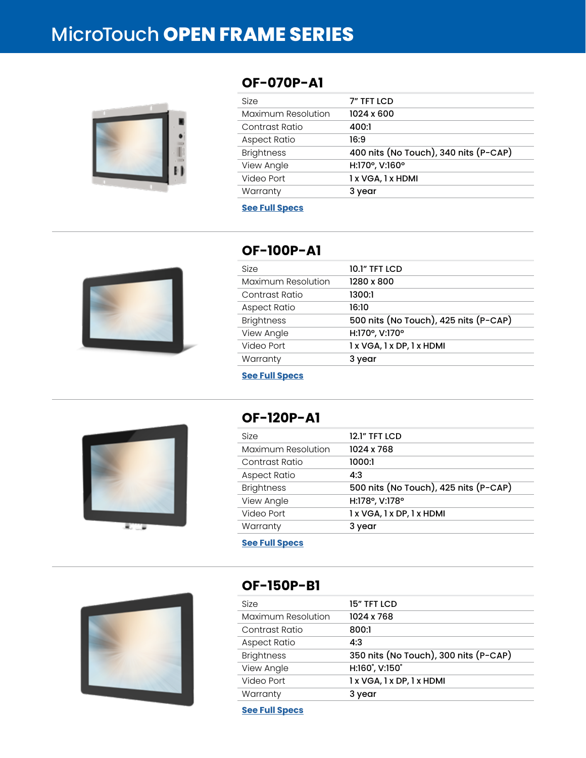## MicroTouch **OPEN FRAME SERIES**



## **OF-070P-A1**

| <b>Size</b>         | 7" TFT LCD                            |
|---------------------|---------------------------------------|
| Maximum Resolution  | 1024 x 600                            |
| Contrast Ratio      | 400:1                                 |
| <b>Aspect Ratio</b> | 16:9                                  |
| <b>Brightness</b>   | 400 nits (No Touch), 340 nits (P-CAP) |
| View Angle          | H:170°, V:160°                        |
| Video Port          | 1 x VGA, 1 x HDMI                     |
| Warranty            | 3 year                                |

#### **[See Full Specs](https://microtouch.com/products/of-070p-a1/)**



## **OF-100P-A1**

| <b>10.1" TFT LCD</b>                  |
|---------------------------------------|
| 1280 x 800                            |
| 1300:1                                |
| 16:10                                 |
| 500 nits (No Touch), 425 nits (P-CAP) |
| H:170°, V:170°                        |
| 1 x VGA, 1 x DP, 1 x HDMI             |
| 3 year                                |
|                                       |

**[See Full Specs](https://microtouch.com/products/of-100p-a1/)**



## **OF-120P-A1**

| <b>Size</b>         | 12.1" TFT LCD                         |
|---------------------|---------------------------------------|
| Maximum Resolution  | 1024 x 768                            |
| Contrast Ratio      | 1000:1                                |
| <b>Aspect Ratio</b> | 4:3                                   |
| <b>Brightness</b>   | 500 nits (No Touch), 425 nits (P-CAP) |
| View Angle          | H:178°, V:178°                        |
| Video Port          | 1 x VGA, 1 x DP, 1 x HDMI             |
| Warranty            | 3 year                                |
|                     |                                       |

**[See Full Specs](https://microtouch.com/products/of-120p-a1/)**



### **OF-150P-B1**

| 15" TFT LCD                           |
|---------------------------------------|
| 1024 x 768                            |
| 800:1                                 |
| 4:3                                   |
| 350 nits (No Touch), 300 nits (P-CAP) |
| H:160°, V:150°                        |
| 1 x VGA, 1 x DP, 1 x HDMI             |
| 3 year                                |
|                                       |

**[See Full Specs](https://microtouch.com/products/of-150p-b1/)**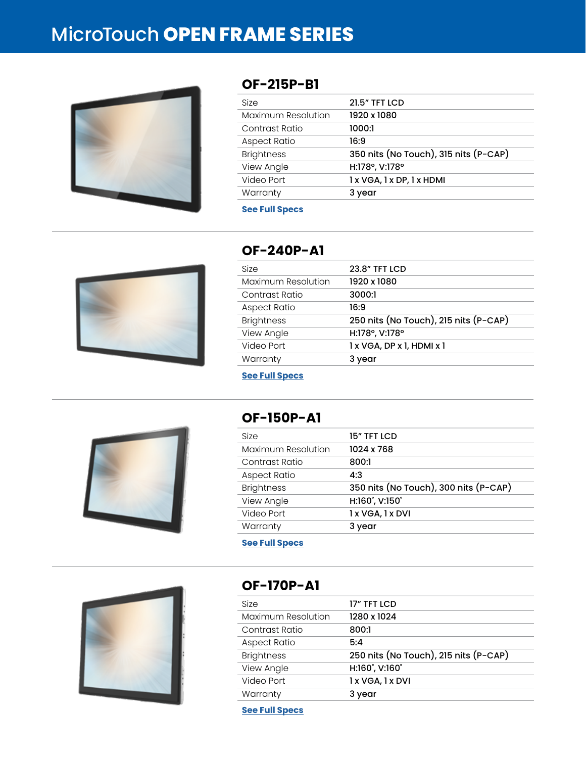## MicroTouch **OPEN FRAME SERIES**



## **OF-215P-B1**

| <b>Size</b>        | <b>21.5" TFT LCD</b>                  |
|--------------------|---------------------------------------|
| Maximum Resolution | 1920 x 1080                           |
| Contrast Ratio     | 1000:1                                |
| Aspect Ratio       | 16:9                                  |
| <b>Brightness</b>  | 350 nits (No Touch), 315 nits (P-CAP) |
| View Angle         | H:178°, V:178°                        |
| Video Port         | 1 x VGA, 1 x DP, 1 x HDMI             |
| Warranty           | 3 year                                |

#### **[See Full Specs](https://microtouch.com/products/of-215p-b1/)**



## **OF-240P-A1**

| Size                | <b>23.8" TFT LCD</b>                  |
|---------------------|---------------------------------------|
| Maximum Resolution  | 1920 x 1080                           |
| Contrast Ratio      | 3000:1                                |
| <b>Aspect Ratio</b> | 16:9                                  |
| <b>Brightness</b>   | 250 nits (No Touch), 215 nits (P-CAP) |
| View Angle          | H:178°, V:178°                        |
| Video Port          | 1 x VGA, DP x 1, HDMI x 1             |
| Warranty            | 3 year                                |

**[See Full Specs](https://microtouch.com/products/of-240p-a1/)**



## **OF-150P-A1**

| Size                | 15" TFT LCD                           |
|---------------------|---------------------------------------|
| Maximum Resolution  | 1024 x 768                            |
| Contrast Ratio      | 800:1                                 |
| <b>Aspect Ratio</b> | 4:3                                   |
| <b>Brightness</b>   | 350 nits (No Touch), 300 nits (P-CAP) |
| View Angle          | H:160°, V:150°                        |
| Video Port          | 1 x VGA, 1 x DVI                      |
| Warranty            | 3 year                                |
|                     |                                       |

**[See Full Specs](https://microtouch.com/products/of-150p-a1/)**



### **OF-170P-A1**

| Size               | 17" TFT LCD                           |
|--------------------|---------------------------------------|
| Maximum Resolution | 1280 x 1024                           |
| Contrast Ratio     | 800:1                                 |
| Aspect Ratio       | 5:4                                   |
| <b>Brightness</b>  | 250 nits (No Touch), 215 nits (P-CAP) |
| View Angle         | H:160°, V:160°                        |
| Video Port         | 1 x VGA, 1 x DVI                      |
| Warranty           | 3 year                                |

**[See Full Specs](https://microtouch.com/products/of-170p-a1/)**